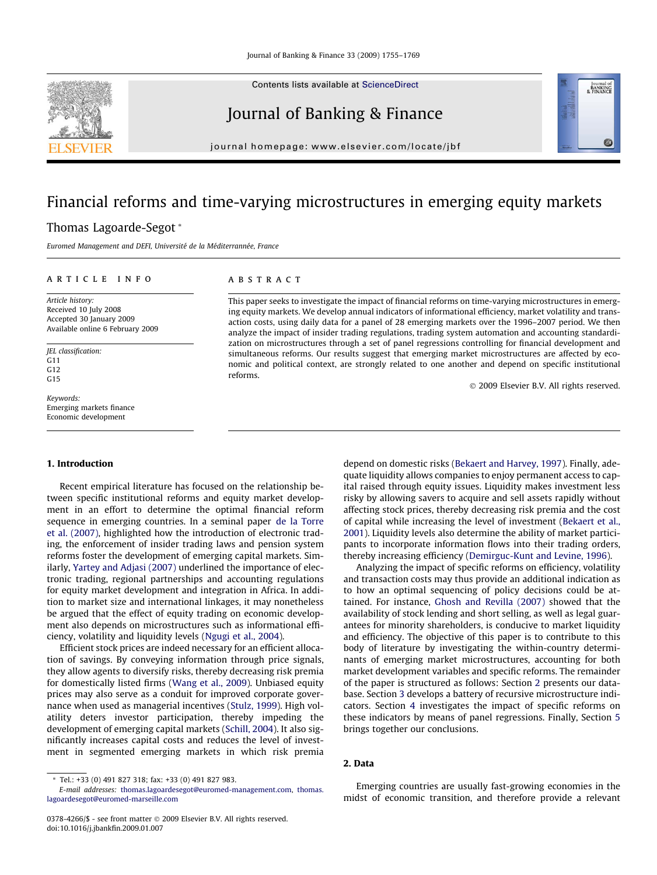Contents lists available at [ScienceDirect](http://www.sciencedirect.com/science/journal/03784266)

# Journal of Banking & Finance

journal homepage: [www.elsevier.com/locate/jbf](http://www.elsevier.com/locate/jbf)

# Financial reforms and time-varying microstructures in emerging equity markets

## Thomas Lagoarde-Segot \*

Euromed Management and DEFI, Université de la Méditerrannée, France

#### article info

Article history: Received 10 July 2008 Accepted 30 January 2009 Available online 6 February 2009

JEL classification: G11 G12  $G15$ 

Keywords: Emerging markets finance Economic development

### 1. Introduction

Recent empirical literature has focused on the relationship between specific institutional reforms and equity market development in an effort to determine the optimal financial reform sequence in emerging countries. In a seminal paper [de la Torre](#page--1-0) [et al. \(2007\)](#page--1-0), highlighted how the introduction of electronic trading, the enforcement of insider trading laws and pension system reforms foster the development of emerging capital markets. Similarly, [Yartey and Adjasi \(2007\)](#page--1-0) underlined the importance of electronic trading, regional partnerships and accounting regulations for equity market development and integration in Africa. In addition to market size and international linkages, it may nonetheless be argued that the effect of equity trading on economic development also depends on microstructures such as informational efficiency, volatility and liquidity levels [\(Ngugi et al., 2004](#page--1-0)).

Efficient stock prices are indeed necessary for an efficient allocation of savings. By conveying information through price signals, they allow agents to diversify risks, thereby decreasing risk premia for domestically listed firms [\(Wang et al., 2009\)](#page--1-0). Unbiased equity prices may also serve as a conduit for improved corporate governance when used as managerial incentives [\(Stulz, 1999](#page--1-0)). High volatility deters investor participation, thereby impeding the development of emerging capital markets [\(Schill, 2004\)](#page--1-0). It also significantly increases capital costs and reduces the level of investment in segmented emerging markets in which risk premia

#### ABSTRACT

This paper seeks to investigate the impact of financial reforms on time-varying microstructures in emerging equity markets. We develop annual indicators of informational efficiency, market volatility and transaction costs, using daily data for a panel of 28 emerging markets over the 1996–2007 period. We then analyze the impact of insider trading regulations, trading system automation and accounting standardization on microstructures through a set of panel regressions controlling for financial development and simultaneous reforms. Our results suggest that emerging market microstructures are affected by economic and political context, are strongly related to one another and depend on specific institutional reforms.

© 2009 Elsevier B.V. All rights reserved.

Journal of<br>BANKING<br>& FINANCE

depend on domestic risks ([Bekaert and Harvey, 1997\)](#page--1-0). Finally, adequate liquidity allows companies to enjoy permanent access to capital raised through equity issues. Liquidity makes investment less risky by allowing savers to acquire and sell assets rapidly without affecting stock prices, thereby decreasing risk premia and the cost of capital while increasing the level of investment [\(Bekaert et al.,](#page--1-0) [2001](#page--1-0)). Liquidity levels also determine the ability of market participants to incorporate information flows into their trading orders, thereby increasing efficiency ([Demirguc-Kunt and Levine, 1996](#page--1-0)).

Analyzing the impact of specific reforms on efficiency, volatility and transaction costs may thus provide an additional indication as to how an optimal sequencing of policy decisions could be attained. For instance, [Ghosh and Revilla \(2007\)](#page--1-0) showed that the availability of stock lending and short selling, as well as legal guarantees for minority shareholders, is conducive to market liquidity and efficiency. The objective of this paper is to contribute to this body of literature by investigating the within-country determinants of emerging market microstructures, accounting for both market development variables and specific reforms. The remainder of the paper is structured as follows: Section 2 presents our database. Section [3](#page-1-0) develops a battery of recursive microstructure indicators. Section [4](#page--1-0) investigates the impact of specific reforms on these indicators by means of panel regressions. Finally, Section [5](#page--1-0) brings together our conclusions.

#### 2. Data

Emerging countries are usually fast-growing economies in the midst of economic transition, and therefore provide a relevant



<sup>\*</sup> Tel.: +33 (0) 491 827 318; fax: +33 (0) 491 827 983.

E-mail addresses: [thomas.lagoardesegot@euromed-management.com](mailto:thomas.lagoardesegot@euromed-management.com), [thomas.](mailto:thomas. lagoardesegot@euromed-marseille.com) [lagoardesegot@euromed-marseille.com](mailto:thomas. lagoardesegot@euromed-marseille.com)

<sup>0378-4266/\$ -</sup> see front matter © 2009 Elsevier B.V. All rights reserved. doi:10.1016/j.jbankfin.2009.01.007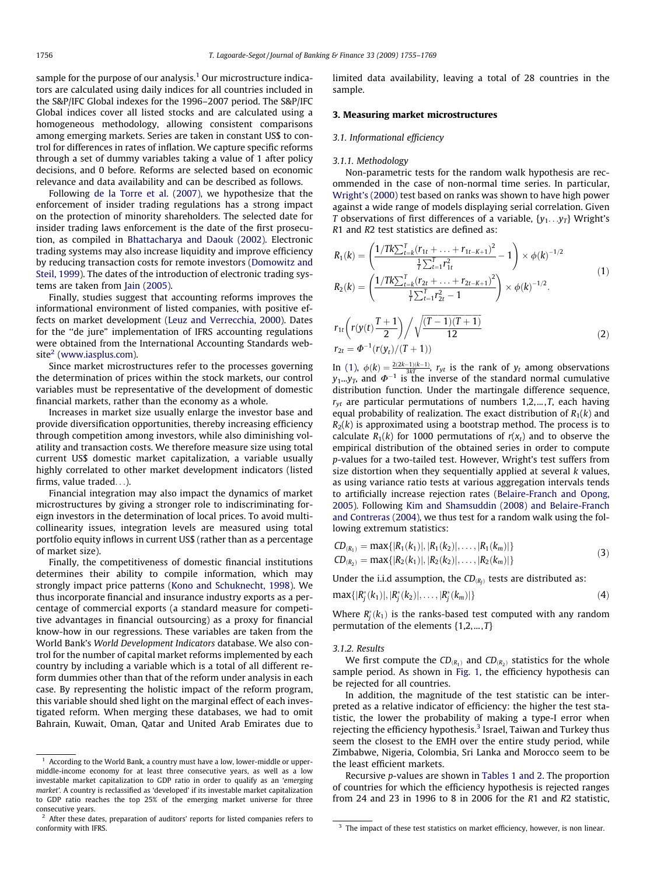<span id="page-1-0"></span>sample for the purpose of our analysis.<sup>1</sup> Our microstructure indicators are calculated using daily indices for all countries included in the S&P/IFC Global indexes for the 1996–2007 period. The S&P/IFC Global indices cover all listed stocks and are calculated using a homogeneous methodology, allowing consistent comparisons among emerging markets. Series are taken in constant US\$ to control for differences in rates of inflation. We capture specific reforms through a set of dummy variables taking a value of 1 after policy decisions, and 0 before. Reforms are selected based on economic relevance and data availability and can be described as follows.

Following [de la Torre et al. \(2007\),](#page--1-0) we hypothesize that the enforcement of insider trading regulations has a strong impact on the protection of minority shareholders. The selected date for insider trading laws enforcement is the date of the first prosecution, as compiled in [Bhattacharya and Daouk \(2002\)](#page--1-0). Electronic trading systems may also increase liquidity and improve efficiency by reducing transaction costs for remote investors [\(Domowitz and](#page--1-0) [Steil, 1999](#page--1-0)). The dates of the introduction of electronic trading systems are taken from [Jain \(2005\).](#page--1-0)

Finally, studies suggest that accounting reforms improves the informational environment of listed companies, with positive effects on market development ([Leuz and Verrecchia, 2000](#page--1-0)). Dates for the ''de jure" implementation of IFRS accounting regulations were obtained from the International Accounting Standards web $site<sup>2</sup>$  [\(www.iasplus.com\)](http://www.iasplus.com).

Since market microstructures refer to the processes governing the determination of prices within the stock markets, our control variables must be representative of the development of domestic financial markets, rather than the economy as a whole.

Increases in market size usually enlarge the investor base and provide diversification opportunities, thereby increasing efficiency through competition among investors, while also diminishing volatility and transaction costs. We therefore measure size using total current US\$ domestic market capitalization, a variable usually highly correlated to other market development indicators (listed firms, value traded...).

Financial integration may also impact the dynamics of market microstructures by giving a stronger role to indiscriminating foreign investors in the determination of local prices. To avoid multicollinearity issues, integration levels are measured using total portfolio equity inflows in current US\$ (rather than as a percentage of market size).

Finally, the competitiveness of domestic financial institutions determines their ability to compile information, which may strongly impact price patterns ([Kono and Schuknecht, 1998\)](#page--1-0). We thus incorporate financial and insurance industry exports as a percentage of commercial exports (a standard measure for competitive advantages in financial outsourcing) as a proxy for financial know-how in our regressions. These variables are taken from the World Bank's World Development Indicators database. We also control for the number of capital market reforms implemented by each country by including a variable which is a total of all different reform dummies other than that of the reform under analysis in each case. By representing the holistic impact of the reform program, this variable should shed light on the marginal effect of each investigated reform. When merging these databases, we had to omit Bahrain, Kuwait, Oman, Qatar and United Arab Emirates due to

limited data availability, leaving a total of 28 countries in the sample.

## 3. Measuring market microstructures

#### 3.1. Informational efficiency

#### 3.1.1. Methodology

Non-parametric tests for the random walk hypothesis are recommended in the case of non-normal time series. In particular, [Wright's \(2000\)](#page--1-0) test based on ranks was shown to have high power against a wide range of models displaying serial correlation. Given T observations of first differences of a variable,  $\{y_1 \dots y_T\}$  Wright's R1 and R2 test statistics are defined as:

$$
R_1(k) = \left(\frac{1/Tk\sum_{t=k}^{T} (r_{1t} + \dots + r_{1t-K+1})^2}{\frac{1}{T}\sum_{t=1}^{T} r_{1t}^2} - 1\right) \times \phi(k)^{-1/2}
$$
\n
$$
R_2(k) = \left(\frac{1/Tk\sum_{t=k}^{T} (r_{2t} + \dots + r_{2t-K+1})^2}{\frac{1}{T}\sum_{t=1}^{T} r_{2t}^2} - 1\right) \times \phi(k)^{-1/2}.
$$
\n
$$
r_{1t}\left(r(y(t)\frac{T+1}{2})\right) / \sqrt{\frac{(T-1)(T+1)}{12}}.
$$
\n(2)

$$
r_{1t}\left(r(y(t)-\frac{y(t)-y(t+1)}{2})\right)/\sqrt{\frac{x^2+y(t+1)-y(t+1)}{12}}
$$
\n(2)

In (1),  $\phi(k) = \frac{2(2k-1)(k-1)}{3kT}$ ,  $r_{yt}$  is the rank of  $y_t$  among observations  $y_1...y_T$ , and  $\Phi^{-1}$  is the inverse of the standard normal cumulative distribution function. Under the martingale difference sequence,  $r_{vt}$  are particular permutations of numbers 1,2,..., T, each having equal probability of realization. The exact distribution of  $R_1(k)$  and  $R<sub>2</sub>(k)$  is approximated using a bootstrap method. The process is to calculate  $R_1(k)$  for 1000 permutations of  $r(x_t)$  and to observe the empirical distribution of the obtained series in order to compute p-values for a two-tailed test. However, Wright's test suffers from size distortion when they sequentially applied at several  $k$  values, as using variance ratio tests at various aggregation intervals tends to artificially increase rejection rates ([Belaire-Franch and Opong,](#page--1-0) [2005](#page--1-0)). Following [Kim and Shamsuddin \(2008\) and Belaire-Franch](#page--1-0) [and Contreras \(2004\)](#page--1-0), we thus test for a random walk using the following extremum statistics:

$$
CD_{(R_1)} = \max\{|R_1(k_1)|, |R_1(k_2)|, \dots, |R_1(k_m)|\}
$$
  
\n
$$
CD_{(R_2)} = \max\{|R_2(k_1)|, |R_2(k_2)|, \dots, |R_2(k_m)|\}
$$
\n(3)

Under the i.i.d assumption, the  $CD_{(R_I)}$  tests are distributed as:

$$
\max\{|R_j^*(k_1)|, |R_j^*(k_2)|, \ldots, |R_j^*(k_m)|\}\tag{4}
$$

Where  $R_j^*(k_1)$  is the ranks-based test computed with any random permutation of the elements  $\{1,2,...,T\}$ 

#### 3.1.2. Results

We first compute the  $CD_{(R_1)}$  and  $CD_{(R_2)}$  statistics for the whole sample period. As shown in [Fig. 1,](#page--1-0) the efficiency hypothesis can be rejected for all countries.

In addition, the magnitude of the test statistic can be interpreted as a relative indicator of efficiency: the higher the test statistic, the lower the probability of making a type-I error when rejecting the efficiency hypothesis.<sup>3</sup> Israel, Taiwan and Turkey thus seem the closest to the EMH over the entire study period, while Zimbabwe, Nigeria, Colombia, Sri Lanka and Morocco seem to be the least efficient markets.

Recursive p-values are shown in [Tables 1 and 2.](#page--1-0) The proportion of countries for which the efficiency hypothesis is rejected ranges from 24 and 23 in 1996 to 8 in 2006 for the R1 and R2 statistic,

 $1$  According to the World Bank, a country must have a low, lower-middle or uppermiddle-income economy for at least three consecutive years, as well as a low investable market capitalization to GDP ratio in order to qualify as an 'emerging market'. A country is reclassified as 'developed' if its investable market capitalization to GDP ratio reaches the top 25% of the emerging market universe for three consecutive years.

<sup>&</sup>lt;sup>2</sup> After these dates, preparation of auditors' reports for listed companies refers to conformity with IFRS. The impact of these test statistics on market efficiency, however, is non linear.